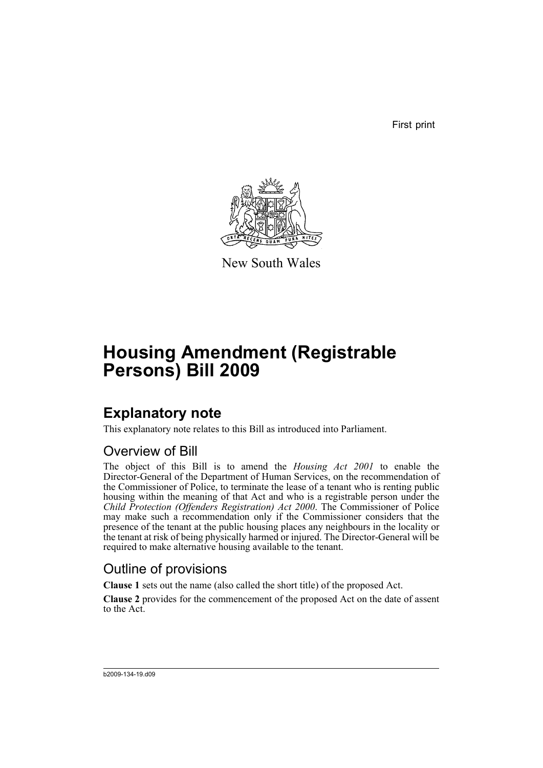First print



New South Wales

# **Housing Amendment (Registrable Persons) Bill 2009**

# **Explanatory note**

This explanatory note relates to this Bill as introduced into Parliament.

### Overview of Bill

The object of this Bill is to amend the *Housing Act 2001* to enable the Director-General of the Department of Human Services, on the recommendation of the Commissioner of Police, to terminate the lease of a tenant who is renting public housing within the meaning of that Act and who is a registrable person under the *Child Protection (Offenders Registration) Act 2000*. The Commissioner of Police may make such a recommendation only if the Commissioner considers that the presence of the tenant at the public housing places any neighbours in the locality or the tenant at risk of being physically harmed or injured. The Director-General will be required to make alternative housing available to the tenant.

## Outline of provisions

**Clause 1** sets out the name (also called the short title) of the proposed Act.

**Clause 2** provides for the commencement of the proposed Act on the date of assent to the Act.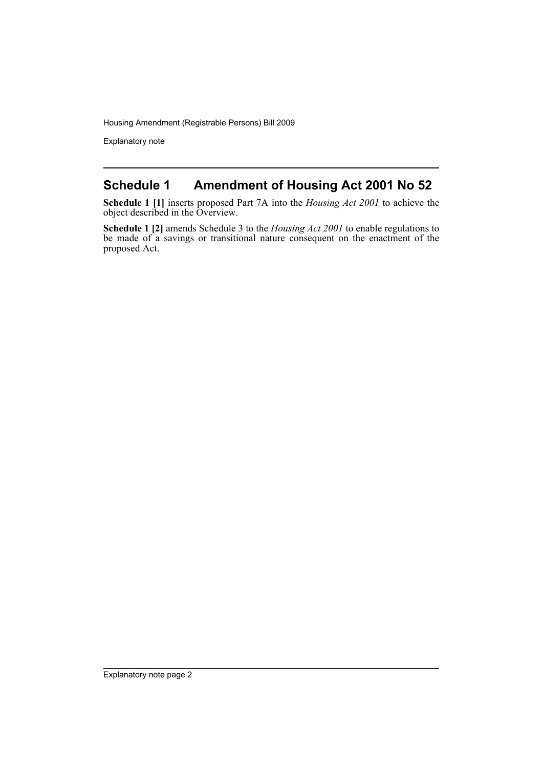Explanatory note

#### **Schedule 1 Amendment of Housing Act 2001 No 52**

**Schedule 1 [1]** inserts proposed Part 7A into the *Housing Act 2001* to achieve the object described in the Overview.

**Schedule 1 [2]** amends Schedule 3 to the *Housing Act 2001* to enable regulations to be made of a savings or transitional nature consequent on the enactment of the proposed Act.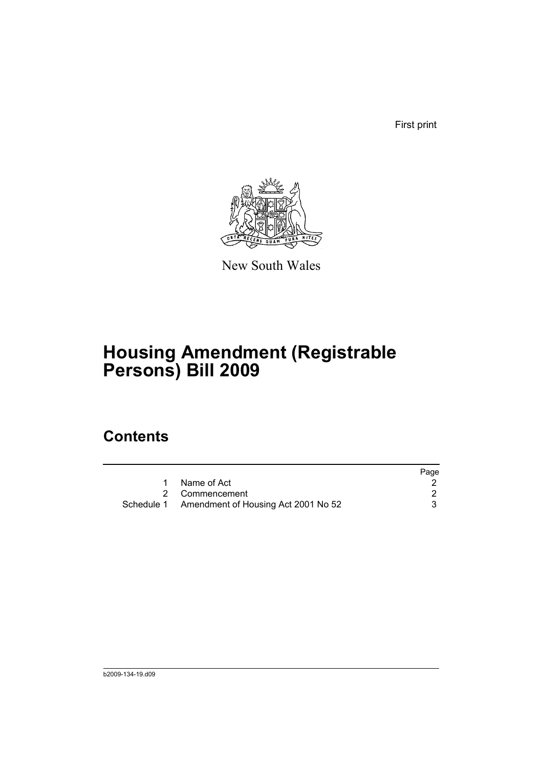First print



New South Wales

# **Housing Amendment (Registrable Persons) Bill 2009**

# **Contents**

|                                                | Page |
|------------------------------------------------|------|
| Name of Act                                    |      |
| 2 Commencement                                 |      |
| Schedule 1 Amendment of Housing Act 2001 No 52 |      |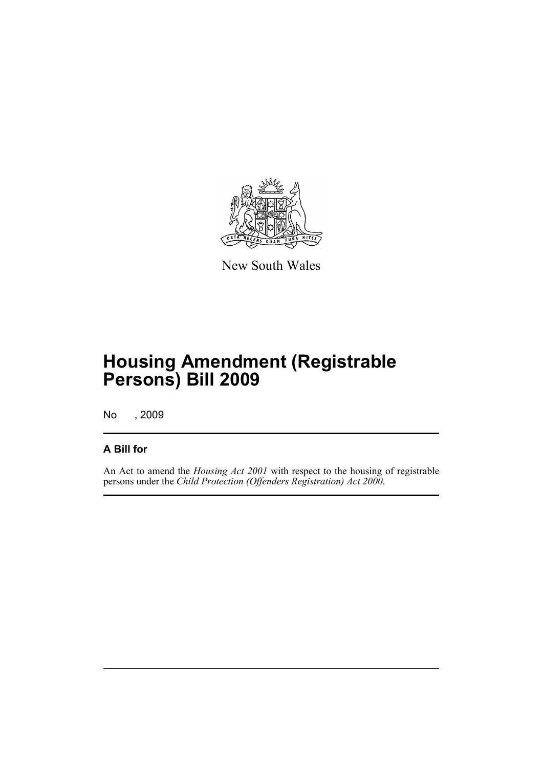

New South Wales

# **Housing Amendment (Registrable Persons) Bill 2009**

No , 2009

#### **A Bill for**

An Act to amend the *Housing Act 2001* with respect to the housing of registrable persons under the *Child Protection (Offenders Registration) Act 2000*.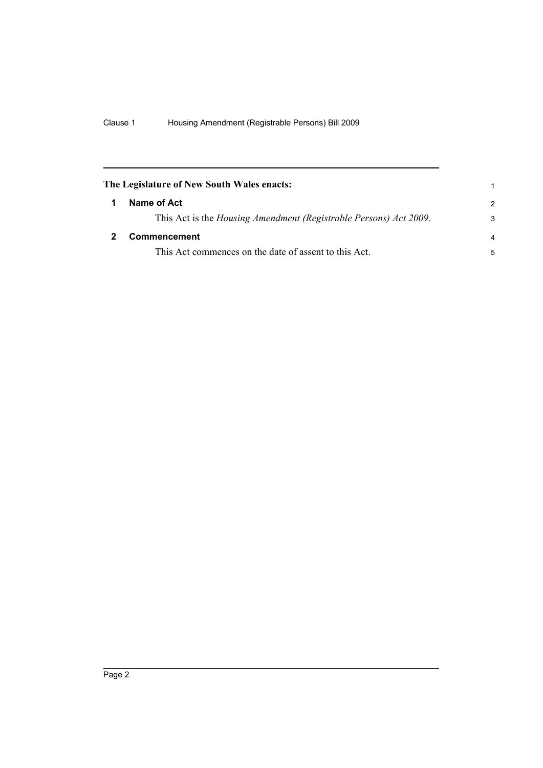<span id="page-5-1"></span><span id="page-5-0"></span>

| The Legislature of New South Wales enacts:                        | 1             |
|-------------------------------------------------------------------|---------------|
| Name of Act                                                       | $\mathcal{P}$ |
| This Act is the Housing Amendment (Registrable Persons) Act 2009. | 3             |
| <b>Commencement</b>                                               | 4             |
| This Act commences on the date of assent to this Act.             | 5             |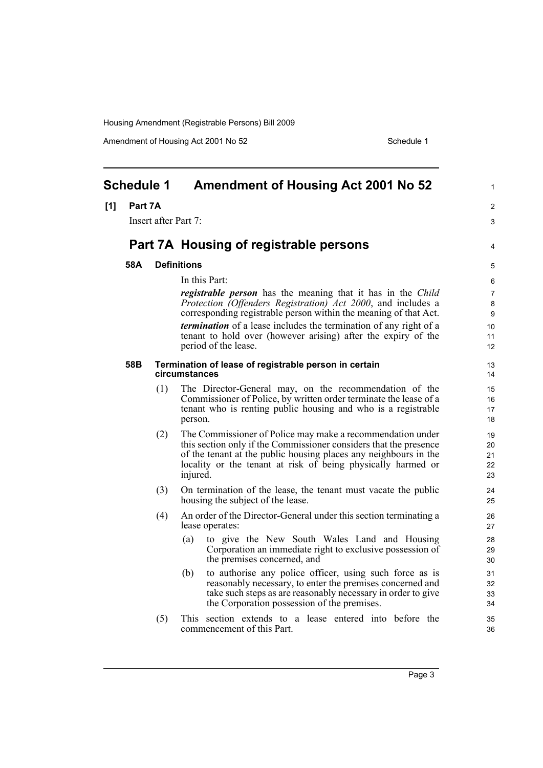Amendment of Housing Act 2001 No 52 Schedule 1

<span id="page-6-0"></span>

| <b>Schedule 1</b> |         |                      | <b>Amendment of Housing Act 2001 No 52</b>                                                                                                                                                                                                                                                                                                                                                          | 1                                  |
|-------------------|---------|----------------------|-----------------------------------------------------------------------------------------------------------------------------------------------------------------------------------------------------------------------------------------------------------------------------------------------------------------------------------------------------------------------------------------------------|------------------------------------|
| [1]               | Part 7A |                      |                                                                                                                                                                                                                                                                                                                                                                                                     | $\overline{c}$                     |
|                   |         | Insert after Part 7: |                                                                                                                                                                                                                                                                                                                                                                                                     | 3                                  |
|                   |         |                      | Part 7A Housing of registrable persons                                                                                                                                                                                                                                                                                                                                                              | 4                                  |
|                   | 58A     |                      | <b>Definitions</b>                                                                                                                                                                                                                                                                                                                                                                                  | 5                                  |
|                   |         |                      | In this Part:<br><i>registrable person</i> has the meaning that it has in the <i>Child</i><br>Protection (Offenders Registration) Act 2000, and includes a<br>corresponding registrable person within the meaning of that Act.<br><i>termination</i> of a lease includes the termination of any right of a<br>tenant to hold over (however arising) after the expiry of the<br>period of the lease. | 6<br>7<br>8<br>9<br>10<br>11<br>12 |
|                   | 58B     |                      | Termination of lease of registrable person in certain<br>circumstances                                                                                                                                                                                                                                                                                                                              | 13<br>14                           |
|                   |         | (1)                  | The Director-General may, on the recommendation of the<br>Commissioner of Police, by written order terminate the lease of a<br>tenant who is renting public housing and who is a registrable<br>person.                                                                                                                                                                                             | 15<br>16<br>17<br>18               |
|                   |         | (2)                  | The Commissioner of Police may make a recommendation under<br>this section only if the Commissioner considers that the presence<br>of the tenant at the public housing places any neighbours in the<br>locality or the tenant at risk of being physically harmed or<br>injured.                                                                                                                     | 19<br>20<br>21<br>22<br>23         |
|                   |         | (3)                  | On termination of the lease, the tenant must vacate the public<br>housing the subject of the lease.                                                                                                                                                                                                                                                                                                 | 24<br>25                           |
|                   |         | (4)                  | An order of the Director-General under this section terminating a<br>lease operates:                                                                                                                                                                                                                                                                                                                | 26<br>27                           |
|                   |         |                      | to give the New South Wales Land and Housing<br>(a)<br>Corporation an immediate right to exclusive possession of<br>the premises concerned, and                                                                                                                                                                                                                                                     | 28<br>29<br>30                     |
|                   |         |                      | to authorise any police officer, using such force as is<br>(b)<br>reasonably necessary, to enter the premises concerned and<br>take such steps as are reasonably necessary in order to give<br>the Corporation possession of the premises.                                                                                                                                                          | 31<br>32<br>33<br>34               |
|                   |         | (5)                  | This section extends to a lease entered into before the<br>commencement of this Part.                                                                                                                                                                                                                                                                                                               | 35<br>36                           |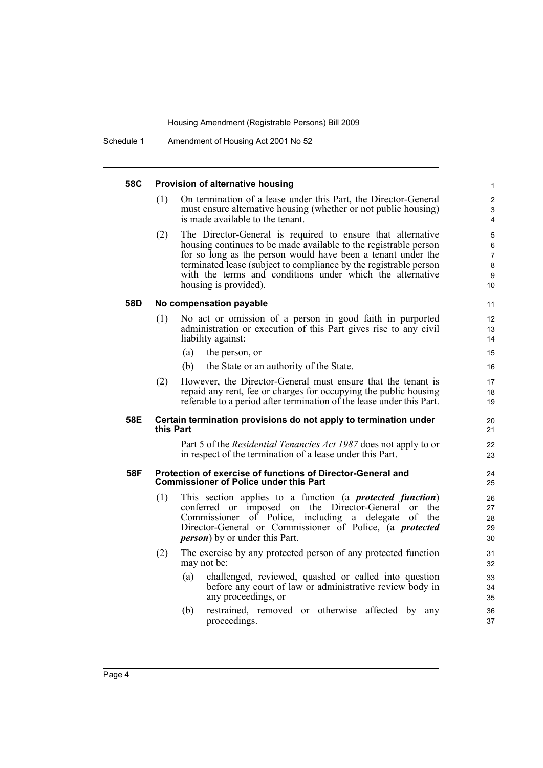#### **58C Provision of alternative housing** (1) On termination of a lease under this Part, the Director-General must ensure alternative housing (whether or not public housing) is made available to the tenant. (2) The Director-General is required to ensure that alternative housing continues to be made available to the registrable person for so long as the person would have been a tenant under the terminated lease (subject to compliance by the registrable person with the terms and conditions under which the alternative housing is provided). **58D No compensation payable** (1) No act or omission of a person in good faith in purported administration or execution of this Part gives rise to any civil liability against: (a) the person, or (b) the State or an authority of the State. (2) However, the Director-General must ensure that the tenant is repaid any rent, fee or charges for occupying the public housing referable to a period after termination of the lease under this Part. **58E Certain termination provisions do not apply to termination under this Part** Part 5 of the *Residential Tenancies Act 1987* does not apply to or in respect of the termination of a lease under this Part. **58F Protection of exercise of functions of Director-General and Commissioner of Police under this Part** (1) This section applies to a function (a *protected function*) conferred or imposed on the Director-General or the Commissioner of Police, including a delegate of the Director-General or Commissioner of Police, (a *protected person*) by or under this Part. (2) The exercise by any protected person of any protected function may not be: (a) challenged, reviewed, quashed or called into question before any court of law or administrative review body in any proceedings, or (b) restrained, removed or otherwise affected by any proceedings. 1 2 3 4 5 6 7 8 9  $10$ 11 12 13 14 15 16 17 18 19 20 21 22 23 24 25 26 27 28 29 30 31 32 33  $34$ 35 36 37